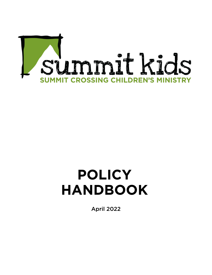

### **POLICY HANDBOOK**

April 2022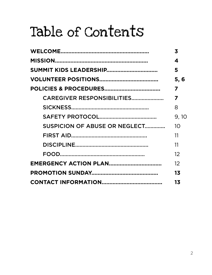# Table of Contents

|                                   | 3                       |
|-----------------------------------|-------------------------|
|                                   | 4                       |
| <b>SUMMIT KIDS LEADERSHIP</b>     | 5                       |
|                                   | 5, 6                    |
|                                   | $\overline{\mathbf{z}}$ |
| <b>CAREGIVER RESPONSIBILITIES</b> | 7                       |
|                                   | 8                       |
|                                   | 9, 10                   |
| SUSPICION OF ABUSE OR NEGLECT     | 1 <sub>O</sub>          |
|                                   | 11                      |
|                                   | 11                      |
|                                   | 12                      |
|                                   | 12                      |
|                                   | 13                      |
|                                   | 13                      |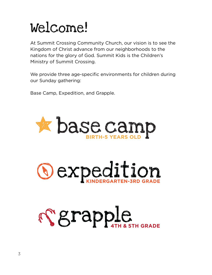### Welcome!

At Summit Crossing Community Church, our vision is to see the Kingdom of Christ advance from our neighborhoods to the nations for the glory of God. Summit Kids is the Children's Ministry of Summit Crossing.

We provide three age-specific environments for children during our Sunday gathering:

Base Camp, Expedition, and Grapple.





# Serapple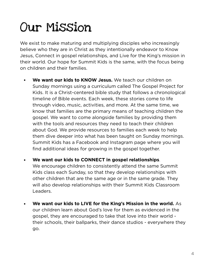### Our Mission

We exist to make maturing and multiplying disciples who increasingly believe who they are in Christ as they intentionally endeavor to Know Jesus, Connect in gospel relationships, and Live for the King's mission in their world. Our hope for Summit Kids is the same, with the focus being on children and their families.

- **• We want our kids to KNOW Jesus.** We teach our children on Sunday mornings using a curriculum called The Gospel Project for Kids. It is a Christ-centered bible study that follows a chronological timeline of Bible events. Each week, these stories come to life through video, music, activities, and more. At the same time, we know that families are the primary means of teaching children the gospel. We want to come alongside families by providing them with the tools and resources they need to teach their children about God. We provide resources to families each week to help them dive deeper into what has been taught on Sunday mornings. Summit Kids has a Facebook and Instagram page where you will find additional ideas for growing in the gospel together.
- **• We want our kids to CONNECT in gospel relationships**.

We encourage children to consistently attend the same Summit Kids class each Sunday, so that they develop relationships with other children that are the same age or in the same grade. They will also develop relationships with their Summit Kids Classroom Leaders.

**• We want our kids to LIVE for the King's Mission in the world.** As our children learn about God's love for them as evidenced in the gospel, they are encouraged to take that love into their world their schools, their ballparks, their dance studios - everywhere they go.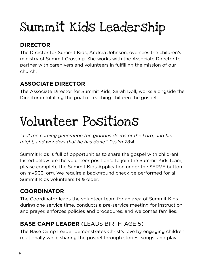## Summit Kids Leadership

### **DIRECTOR**

The Director for Summit Kids, Andrea Johnson, oversees the children's ministry of Summit Crossing. She works with the Associate Director to partner with caregivers and volunteers in fulfilling the mission of our church.

### **ASSOCIATE DIRECTOR**

The Associate Director for Summit Kids, Sarah Doll, works alongside the Director in fulfilling the goal of teaching children the gospel.

### Volunteer Positions

*"Tell the coming generation the glorious deeds of the Lord, and his might, and wonders that he has done." Psalm 78:4*

Summit Kids is full of opportunities to share the gospel with children! Listed below are the volunteer positions. To join the Summit Kids team, please complete the Summit Kids Application under the SERVE button on mySC3. org. We require a background check be performed for all Summit Kids volunteers 19 & older.

### **COORDINATOR**

The Coordinator leads the volunteer team for an area of Summit Kids during one service time, conducts a pre-service meeting for instruction and prayer, enforces policies and procedures, and welcomes families.

### **BASE CAMP LEADER** (LEADS BIRTH-AGE 5)

The Base Camp Leader demonstrates Christ's love by engaging children relationally while sharing the gospel through stories, songs, and play.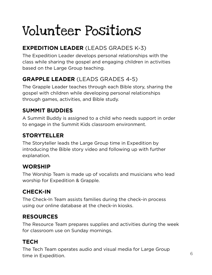# Volunteer Positions

### **EXPEDITION LEADER** (LEADS GRADES K-3)

The Expedition Leader develops personal relationships with the class while sharing the gospel and engaging children in activities based on the Large Group teaching.

### **GRAPPLE LEADER** (LEADS GRADES 4-5)

The Grapple Leader teaches through each Bible story, sharing the gospel with children while developing personal relationships through games, activities, and Bible study.

#### **SUMMIT BUDDIES**

A Summit Buddy is assigned to a child who needs support in order to engage in the Summit Kids classroom environment.

### **STORYTELLER**

The Storyteller leads the Large Group time in Expedition by introducing the Bible story video and following up with further explanation.

#### **WORSHIP**

The Worship Team is made up of vocalists and musicians who lead worship for Expedition & Grapple.

### **CHECK-IN**

The Check-In Team assists families during the check-in process using our online database at the check-in kiosks.

### **RESOURCES**

The Resource Team prepares supplies and activities during the week for classroom use on Sunday mornings.

### **TECH**

The Tech Team operates audio and visual media for Large Group time in Expedition. The contract of the contract of  $\sim$  6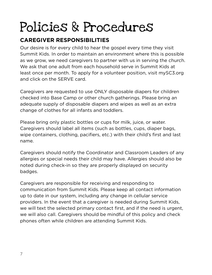### **CAREGIVER RESPONSIBILITIES**

Our desire is for every child to hear the gospel every time they visit Summit Kids. In order to maintain an environment where this is possible as we grow, we need caregivers to partner with us in serving the church. We ask that one adult from each household serve in Summit Kids at least once per month. To apply for a volunteer position, visit mySC3.org and click on the SERVE card.

Caregivers are requested to use ONLY disposable diapers for children checked into Base Camp or other church gatherings. Please bring an adequate supply of disposable diapers and wipes as well as an extra change of clothes for all infants and toddlers.

Please bring only plastic bottles or cups for milk, juice, or water. Caregivers should label all items (such as bottles, cups, diaper bags, wipe containers, clothing, pacifiers, etc.) with their child's first and last name.

Caregivers should notify the Coordinator and Classroom Leaders of any allergies or special needs their child may have. Allergies should also be noted during check-in so they are properly displayed on security badges.

Caregivers are responsible for receiving and responding to communication from Summit Kids. Please keep all contact information up to date in our system, including any change in cellular service providers. In the event that a caregiver is needed during Summit Kids, we will text the selected primary contact first, and if the need is urgent, we will also call. Caregivers should be mindful of this policy and check phones often while children are attending Summit Kids.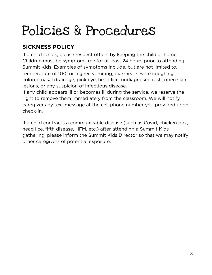### **SICKNESS POLICY**

If a child is sick, please respect others by keeping the child at home. Children must be symptom-free for at least 24 hours prior to attending Summit Kids. Examples of symptoms include, but are not limited to, temperature of 100° or higher, vomiting, diarrhea, severe coughing, colored nasal drainage, pink eye, head lice, undiagnosed rash, open skin lesions, or any suspicion of infectious disease.

If any child appears ill or becomes ill during the service, we reserve the right to remove them immediately from the classroom. We will notify caregivers by text message at the cell phone number you provided upon check-in.

If a child contracts a communicable disease (such as Covid, chicken pox, head lice, fifth disease, HFM, etc.) after attending a Summit Kids gathering, please inform the Summit Kids Director so that we may notify other caregivers of potential exposure.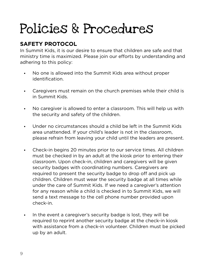### **SAFETY PROTOCOL**

In Summit Kids, it is our desire to ensure that children are safe and that ministry time is maximized. Please join our efforts by understanding and adhering to this policy:

- No one is allowed into the Summit Kids area without proper identification.
- Caregivers must remain on the church premises while their child is in Summit Kids.
- No caregiver is allowed to enter a classroom. This will help us with the security and safety of the children.
- Under no circumstances should a child be left in the Summit Kids area unattended. If your child's leader is not in the classroom, please refrain from leaving your child until the leaders are present.
- Check-in begins 20 minutes prior to our service times. All children must be checked in by an adult at the kiosk prior to entering their classroom. Upon check-in, children and caregivers will be given security badges with coordinating numbers. Caregivers are required to present the security badge to drop off and pick up children. Children must wear the security badge at all times while under the care of Summit Kids. If we need a caregiver's attention for any reason while a child is checked in to Summit Kids, we will send a text message to the cell phone number provided upon check-in.
- In the event a caregiver's security badge is lost, they will be required to reprint another security badge at the check-in kiosk with assistance from a check-in volunteer. Children must be picked up by an adult.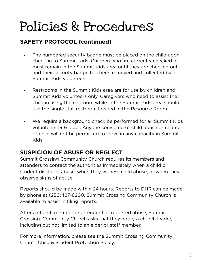#### **SAFETY PROTOCOL (continued)**

- The numbered security badge must be placed on the child upon check-in to Summit Kids. Children who are currently checked in must remain in the Summit Kids area until they are checked out and their security badge has been removed and collected by a Summit Kids volunteer.
- Restrooms in the Summit Kids area are for use by children and Summit Kids volunteers only. Caregivers who need to assist their child in using the restroom while in the Summit Kids area should use the single stall restroom located in the Resource Room.
- We require a background check be performed for all Summit Kids volunteers 19 & older. Anyone convicted of child abuse or related offense will not be permitted to serve in any capacity in Summit Kids.

#### **SUSPICION OF ABUSE OR NEGLECT**

Summit Crossing Community Church requires its members and attenders to contact the authorities immediately when a child or student discloses abuse, when they witness child abuse, or when they observe signs of abuse.

Reports should be made within 24 hours. Reports to DHR can be made by phone at (256)427-6200. Summit Crossing Community Church is available to assist in filing reports.

After a church member or attender has reported abuse, Summit Crossing. Community Church asks that they notify a church leader, including but not limited to an elder or staff member.

For more information, please see the Summit Crossing Community Church Child & Student Protection Policy.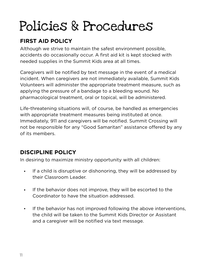### **FIRST AID POLICY**

Although we strive to maintain the safest environment possible, accidents do occasionally occur. A first aid kit is kept stocked with needed supplies in the Summit Kids area at all times.

Caregivers will be notified by text message in the event of a medical incident. When caregivers are not immediately available, Summit Kids Volunteers will administer the appropriate treatment measure, such as applying the pressure of a bandage to a bleeding wound. No pharmacological treatment, oral or topical, will be administered.

Life-threatening situations will, of course, be handled as emergencies with appropriate treatment measures being instituted at once. Immediately, 911 and caregivers will be notified. Summit Crossing will not be responsible for any "Good Samaritan" assistance offered by any of its members.

### **DISCIPLINE POLICY**

In desiring to maximize ministry opportunity with all children:

- If a child is disruptive or dishonoring, they will be addressed by their Classroom Leader.
- If the behavior does not improve, they will be escorted to the Coordinator to have the situation addressed.
- If the behavior has not improved following the above interventions, the child will be taken to the Summit Kids Director or Assistant and a caregiver will be notified via text message.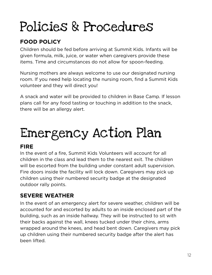### **FOOD POLICY**

Children should be fed before arriving at Summit Kids. Infants will be given formula, milk, juice, or water when caregivers provide these items. Time and circumstances do not allow for spoon-feeding.

Nursing mothers are always welcome to use our designated nursing room. If you need help locating the nursing room, find a Summit Kids volunteer and they will direct you!

A snack and water will be provided to children in Base Camp. If lesson plans call for any food tasting or touching in addition to the snack, there will be an allergy alert.

# Emergency Action Plan

#### **FIRE**

In the event of a fire, Summit Kids Volunteers will account for all children in the class and lead them to the nearest exit. The children will be escorted from the building under constant adult supervision. Fire doors inside the facility will lock down. Caregivers may pick up children using their numbered security badge at the designated outdoor rally points.

#### **SEVERE WEATHER**

In the event of an emergency alert for severe weather, children will be accounted for and escorted by adults to an inside enclosed part of the building, such as an inside hallway. They will be instructed to sit with their backs against the wall, knees tucked under their chins, arms wrapped around the knees, and head bent down. Caregivers may pick up children using their numbered security badge after the alert has been lifted.